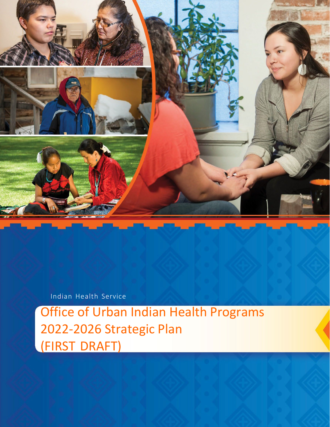

## Indian Health Service

Office of Urban Indian Health Programs 2022-2026 Strategic Plan (FIRST DRAFT)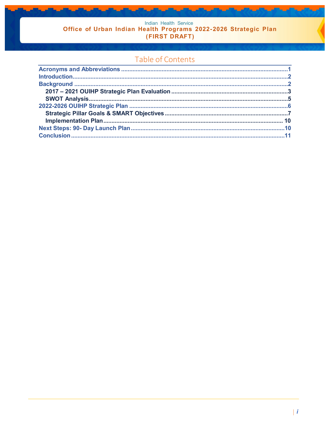Indian Health Service<br>
Office of Urban Indian Health Programs 2022-2026 Strategic Plan (FIRST DRAFT)

## Table of Contents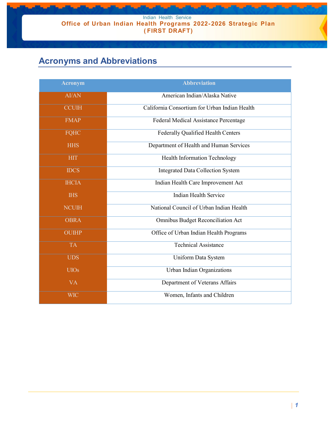Indian Health Service **Office of Urban Indian Health Programs 2022- 2026 Strategic Plan ( FIRST DRAFT)**

# <span id="page-2-0"></span>**Acronyms and Abbreviations**

| <b>Acronym</b> | <b>Abbreviation</b>                           |
|----------------|-----------------------------------------------|
| AI/AN          | American Indian/Alaska Native                 |
| <b>CCUIH</b>   | California Consortium for Urban Indian Health |
| <b>FMAP</b>    | Federal Medical Assistance Percentage         |
| <b>FQHC</b>    | Federally Qualified Health Centers            |
| <b>HHS</b>     | Department of Health and Human Services       |
| <b>HIT</b>     | Health Information Technology                 |
| <b>IDCS</b>    | <b>Integrated Data Collection System</b>      |
| <b>IHCIA</b>   | Indian Health Care Improvement Act            |
| <b>IHS</b>     | Indian Health Service                         |
| <b>NCUIH</b>   | National Council of Urban Indian Health       |
| <b>OBRA</b>    | Omnibus Budget Reconciliation Act             |
| <b>OUIHP</b>   | Office of Urban Indian Health Programs        |
| <b>TA</b>      | <b>Technical Assistance</b>                   |
| <b>UDS</b>     | Uniform Data System                           |
| <b>UIOs</b>    | Urban Indian Organizations                    |
| <b>VA</b>      | Department of Veterans Affairs                |
| <b>WIC</b>     | Women, Infants and Children                   |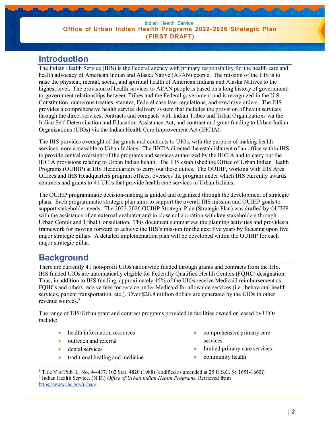### <span id="page-3-0"></span>**Introduction**

The Indian Health Service (IHS) is the Federal agency with primary responsibility for the health care and health advocacy of American Indian and Alaska Native (AI/AN) people. The mission of the IHS is to raise the physical, mental, social, and spiritual health of American Indians and Alaska Natives to the highest level. The provision of health services to AI/AN people is based on a long history of governmentto-government relationships between Tribes and the Federal government and is recognized in the U.S. Constitution, numerous treaties, statutes, Federal case law, regulations, and executive orders. The IHS provides a comprehensive health service delivery system that includes the provision of health services through the direct services, contracts and compacts with Indian Tribes and Tribal Organizations via the Indian Self-Determination and Education Assistance Act, and contract and grant funding to Urban Indian Organizations (UIOs) via the Indian Health Care Improvement Act (IHCIA)[.1](#page-3-2)

The IHS provides oversight of the grants and contracts to UIOs, with the purpose of making health services more accessible to Urban Indians. The IHCIA directed the establishment of an office within IHS to provide central oversight of the programs and services authorized by the IHCIA and to carry out the IHCIA provisions relating to Urban Indian health. The IHS established the Office of Urban Indian Health Programs (OUIHP) at IHS Headquarters to carry out these duties. The OUIHP, working with IHS Area Offices and IHS Headquarters program offices, oversees the program under which IHS currently awards contracts and grants to 41 UIOs that provide health care services to Urban Indians.

The OUIHP programmatic decision-making is guided and organized through the development of strategic plans. Each programmatic strategic plan aims to support the overall IHS mission and OUIHP goals to support stakeholder needs. The 2022-2026 OUIHP Strategic Plan (Strategic Plan) was drafted by OUIHP with the assistance of an external evaluator and in close collaboration with key stakeholders through Urban Confer and Tribal Consultation. This document summarizes the planning activities and provides a framework for moving forward to achieve the IHS's mission for the next five years by focusing upon five major strategic pillars. A detailed implementation plan will be developed within the OUIHP for each major strategic pillar.

# <span id="page-3-1"></span>**Background**

There are currently 41 non-profit UIOs nationwide funded through grants and contracts from the IHS. IHS funded UIOs are automatically eligible for Federally Qualified Health Centers (FQHC) designation. Thus, in addition to IHS funding, approximately 45% of the UIOs receive Medicaid reimbursement as FQHCs and others receive fees for service under Medicaid for allowable services (i.e., behavioral health services, patient transportation, etc.). Over \$28.8 million dollars are generated by the UIOs in other revenue sources[.2](#page-3-3)

The range of IHS/Urban grant and contract programs provided in facilities owned or leased by UIOs include:

- health information resources
- outreach and referral
- dental services
- traditional healing and medicine
- comprehensive primary care services
- limited primary care services
- community health

<span id="page-3-3"></span><span id="page-3-2"></span><sup>&</sup>lt;sup>1</sup> Title V of Pub. L. No. 94-437, 102 Stat. 4820 (1988) (codified as amended at 25 U.S.C. §§ 1651-1660i) <sup>2</sup> Indian Health Service. (N.D.) *Office of Urban Indian Health Programs*. Retrieved from <https://www.ihs.gov/urban/>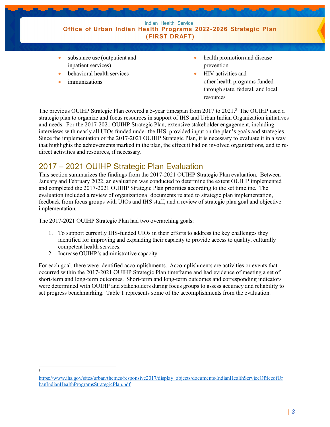

- substance use (outpatient and inpatient services)
- behavioral health services
- *immunizations*
- health promotion and disease prevention
- HIV activities and other health programs funded through state, federal, and local resources

The previous OUIHP Strategic Plan covered a 5-year timespan from 2017 to 2021[.3](#page-4-1) The OUIHP used a strategic plan to organize and focus resources in support of IHS and Urban Indian Organization initiatives and needs. For the 2017-2021 OUIHP Strategic Plan, extensive stakeholder engagement, including interviews with nearly all UIOs funded under the IHS, provided input on the plan's goals and strategies. Since the implementation of the 2017-2021 OUIHP Strategic Plan, it is necessary to evaluate it in a way that highlights the achievements marked in the plan, the effect it had on involved organizations, and to redirect activities and resources, if necessary.

### <span id="page-4-0"></span>2017 – 2021 OUIHP Strategic Plan Evaluation

This section summarizes the findings from the 2017-2021 OUIHP Strategic Plan evaluation. Between January and February 2022, an evaluation was conducted to determine the extent OUIHP implemented and completed the 2017-2021 OUIHP Strategic Plan priorities according to the set timeline. The evaluation included a review of organizational documents related to strategic plan implementation, feedback from focus groups with UIOs and IHS staff, and a review of strategic plan goal and objective implementation.

The 2017-2021 OUIHP Strategic Plan had two overarching goals:

- 1. To support currently IHS-funded UIOs in their efforts to address the key challenges they identified for improving and expanding their capacity to provide access to quality, culturally competent health services.
- 2. Increase OUIHP's administrative capacity.

For each goal, there were identified accomplishments. Accomplishments are activities or events that occurred within the 2017-2021 OUIHP Strategic Plan timeframe and had evidence of meeting a set of short-term and long-term outcomes. Short-term and long-term outcomes and corresponding indicators were determined with OUIHP and stakeholders during focus groups to assess accuracy and reliability to set progress benchmarking. Table 1 represents some of the accomplishments from the evaluation.

<sup>3</sup>

<span id="page-4-1"></span>[https://www.ihs.gov/sites/urban/themes/responsive2017/display\\_objects/documents/IndianHealthServiceOfficeofUr](https://www.ihs.gov/sites/urban/themes/responsive2017/display_objects/documents/IndianHealthServiceOfficeofUrbanIndianHealthProgramsStrategicPlan.pdf) [banIndianHealthProgramsStrategicPlan.pdf](https://www.ihs.gov/sites/urban/themes/responsive2017/display_objects/documents/IndianHealthServiceOfficeofUrbanIndianHealthProgramsStrategicPlan.pdf)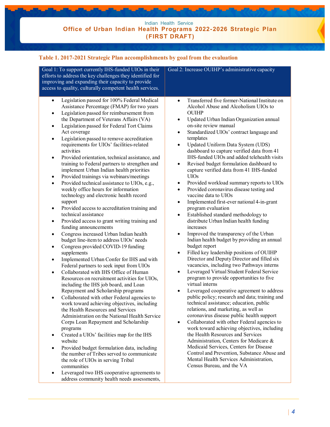| Goal 1: To support currently IHS-funded UIOs in their<br>efforts to address the key challenges they identified for<br>improving and expanding their capacity to provide<br>access to quality, culturally competent health services.                                                                                                                                                                                                                                                                                                                                                                                                                                                                                                                                                                                                                                                                                                                                                                                                                                                                                                                                                                                                                                                                                                                                                                                                                                                                                                                                                                                                                                                                                                                                                                                                                                                                                                                                                                                                             | Goal 2: Increase OUIHP's administrative capacity                                                                                                                                                                                                                                                                                                                                                                                                                                                                                                                                                                                                                                                                                                                                                                                                                                                                                                                                                                                                                                                                                                                                                                                                                                                                                                                                                                                                                                                                                                                                                                                                                                                                                                                                                                                                      |
|-------------------------------------------------------------------------------------------------------------------------------------------------------------------------------------------------------------------------------------------------------------------------------------------------------------------------------------------------------------------------------------------------------------------------------------------------------------------------------------------------------------------------------------------------------------------------------------------------------------------------------------------------------------------------------------------------------------------------------------------------------------------------------------------------------------------------------------------------------------------------------------------------------------------------------------------------------------------------------------------------------------------------------------------------------------------------------------------------------------------------------------------------------------------------------------------------------------------------------------------------------------------------------------------------------------------------------------------------------------------------------------------------------------------------------------------------------------------------------------------------------------------------------------------------------------------------------------------------------------------------------------------------------------------------------------------------------------------------------------------------------------------------------------------------------------------------------------------------------------------------------------------------------------------------------------------------------------------------------------------------------------------------------------------------|-------------------------------------------------------------------------------------------------------------------------------------------------------------------------------------------------------------------------------------------------------------------------------------------------------------------------------------------------------------------------------------------------------------------------------------------------------------------------------------------------------------------------------------------------------------------------------------------------------------------------------------------------------------------------------------------------------------------------------------------------------------------------------------------------------------------------------------------------------------------------------------------------------------------------------------------------------------------------------------------------------------------------------------------------------------------------------------------------------------------------------------------------------------------------------------------------------------------------------------------------------------------------------------------------------------------------------------------------------------------------------------------------------------------------------------------------------------------------------------------------------------------------------------------------------------------------------------------------------------------------------------------------------------------------------------------------------------------------------------------------------------------------------------------------------------------------------------------------------|
| Legislation passed for 100% Federal Medical<br>$\bullet$<br>Assistance Percentage (FMAP) for two years<br>Legislation passed for reimbursement from<br>$\bullet$<br>the Department of Veterans Affairs (VA)<br>Legislation passed for Federal Tort Claims<br>$\bullet$<br>Act coverage<br>Legislation passed to remove accreditation<br>$\bullet$<br>requirements for UIOs' facilities-related<br>activities<br>Provided orientation, technical assistance, and<br>$\bullet$<br>training to Federal partners to strengthen and<br>implement Urban Indian health priorities<br>Provided trainings via webinars/meetings<br>$\bullet$<br>Provided technical assistance to UIOs, e.g.,<br>$\bullet$<br>weekly office hours for information<br>technology and electronic health record<br>support<br>Provided access to accreditation training and<br>$\bullet$<br>technical assistance<br>Provided access to grant writing training and<br>$\bullet$<br>funding announcements<br>Congress increased Urban Indian health<br>$\bullet$<br>budget line-item to address UIOs' needs<br>Congress provided COVID-19 funding<br>$\bullet$<br>supplements<br>Implemented Urban Confer for IHS and with<br>$\bullet$<br>Federal partners to seek input from UIOs<br>Collaborated with IHS Office of Human<br>$\bullet$<br>Resources on recruitment activities for UIOs,<br>including the IHS job board, and Loan<br>Repayment and Scholarship programs<br>Collaborated with other Federal agencies to<br>$\bullet$<br>work toward achieving objectives, including<br>the Health Resources and Services<br>Administration on the National Health Service<br>Corps Loan Repayment and Scholarship<br>programs<br>Created a UIOs' facilities map for the IHS<br>$\bullet$<br>website<br>Provided budget formulation data, including<br>$\bullet$<br>the number of Tribes served to communicate<br>the role of UIOs in serving Tribal<br>communities<br>Leveraged two IHS cooperative agreements to<br>$\bullet$<br>address community health needs assessments, | Transferred five former-National Institute on<br>$\bullet$<br>Alcohol Abuse and Alcoholism UIOs to<br><b>OUIHP</b><br>Updated Urban Indian Organization annual<br>$\bullet$<br>on-site review manual<br>Standardized UIOs' contract language and<br>$\bullet$<br>templates<br>Updated Uniform Data System (UDS)<br>$\bullet$<br>dashboard to capture verified data from 41<br>IHS-funded UIOs and added telehealth visits<br>Revised budget formulation dashboard to<br>$\bullet$<br>capture verified data from 41 IHS-funded<br><b>UIOs</b><br>Provided workload summary reports to UIOs<br>٠<br>Provided coronavirus disease testing and<br>٠<br>vaccine data to UIOs<br>Implemented first-ever national 4-in-grant<br>$\bullet$<br>program evaluation<br>Established standard methodology to<br>$\bullet$<br>distribute Urban Indian health funding<br>increases<br>Improved the transparency of the Urban<br>Indian health budget by providing an annual<br>budget report<br>Filled key leadership positions of OUIHP<br>$\bullet$<br>Director and Deputy Director and filled six<br>vacancies, including two Pathways interns<br>Leveraged Virtual Student Federal Service<br>$\bullet$<br>program to provide opportunities to five<br>virtual interns<br>Leveraged cooperative agreement to address<br>public policy; research and data; training and<br>technical assistance; education, public<br>relations, and marketing, as well as<br>coronavirus disease public health support<br>Collaborated with other Federal agencies to<br>$\bullet$<br>work toward achieving objectives, including<br>the Health Resources and Services<br>Administration, Centers for Medicare &<br>Medicaid Services, Centers for Disease<br>Control and Prevention, Substance Abuse and<br>Mental Health Services Administration,<br>Census Bureau, and the VA |

#### **Table 1. 2017-2021 Strategic Plan accomplishments by goal from the evaluation**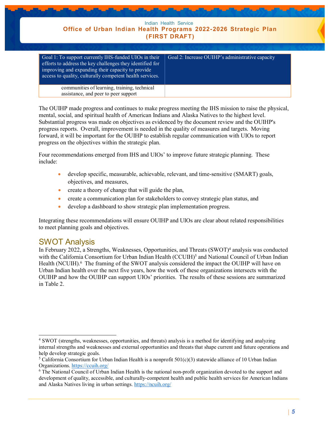| Indian Health Service<br>Office of Urban Indian Health Programs 2022-2026 Strategic Plan<br>(FIRST DRAFT)                                                                                                                           |                                                  |
|-------------------------------------------------------------------------------------------------------------------------------------------------------------------------------------------------------------------------------------|--------------------------------------------------|
| Goal 1: To support currently IHS-funded UIOs in their<br>efforts to address the key challenges they identified for<br>improving and expanding their capacity to provide<br>access to quality, culturally competent health services. | Goal 2: Increase OUIHP's administrative capacity |
| communities of learning, training, technical<br>assistance, and peer to peer support                                                                                                                                                |                                                  |

The OUIHP made progress and continues to make progress meeting the IHS mission to raise the physical, mental, social, and spiritual health of American Indians and Alaska Natives to the highest level. Substantial progress was made on objectives as evidenced by the document review and the OUIHP's progress reports. Overall, improvement is needed in the quality of measures and targets. Moving forward, it will be important for the OUIHP to establish regular communication with UIOs to report progress on the objectives within the strategic plan.

Four recommendations emerged from IHS and UIOs' to improve future strategic planning. These include:

- develop specific, measurable, achievable, relevant, and time-sensitive (SMART) goals, objectives, and measures,
- create a theory of change that will guide the plan,
- create a communication plan for stakeholders to convey strategic plan status, and
- develop a dashboard to show strategic plan implementation progress.

Integrating these recommendations will ensure OUIHP and UIOs are clear about related responsibilities to meet planning goals and objectives.

### <span id="page-6-0"></span>SWOT Analysis

In February 2022, a Strengths, Weaknesses, Opportunities, and Threats  $(SWOT)^4$  analysis was conducted with the California Consortium for Urban Indian Health (CCUIH)<sup>5</sup> and National Council of Urban Indian Health (NCUIH).<sup>6</sup> The framing of the SWOT analysis considered the impact the OUIHP will have on Urban Indian health over the next five years, how the work of these organizations intersects with the OUIHP and how the OUIHP can support UIOs' priorities. The results of these sessions are summarized in [Table 2.](#page-7-1)

<span id="page-6-1"></span><sup>4</sup> SWOT (strengths, weaknesses, opportunities, and threats) analysis is a method for identifying and analyzing internal strengths and weaknesses and external opportunities and threats that shape current and future operations and help develop strategic goals.

<span id="page-6-2"></span><sup>&</sup>lt;sup>5</sup> California Consortium for Urban Indian Health is a nonprofit  $501(c)(3)$  statewide alliance of 10 Urban Indian Organizations.<https://ccuih.org/>

<span id="page-6-3"></span><sup>6</sup> The National Council of Urban Indian Health is the national non-profit organization devoted to the support and development of quality, accessible, and culturally-competent health and public health services for American Indians and Alaska Natives living in urban settings.<https://ncuih.org/>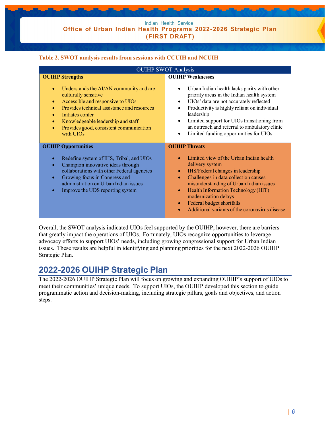Indian Health Service **Office of Urban Indian Health Programs 2022- 2026 Strategic Plan (FIRST DRAFT)**

#### <span id="page-7-1"></span>**Table 2. SWOT analysis results from sessions with CCUIH and NCUIH**

| <b>OUIHP SWOT Analysis</b>                                                                                                                                                                                                                                                                                     |                                                                                                                                                                                                                                                                                                                                                                                                 |  |
|----------------------------------------------------------------------------------------------------------------------------------------------------------------------------------------------------------------------------------------------------------------------------------------------------------------|-------------------------------------------------------------------------------------------------------------------------------------------------------------------------------------------------------------------------------------------------------------------------------------------------------------------------------------------------------------------------------------------------|--|
| <b>OUIHP Strengths</b><br>Understands the AI/AN community and are<br>$\bullet$<br>culturally sensitive<br>Accessible and responsive to UIOs<br>$\bullet$<br>Provides technical assistance and resources                                                                                                        | <b>OUIHP Weaknesses</b><br>Urban Indian health lacks parity with other<br>priority areas in the Indian health system<br>UIOs' data are not accurately reflected<br>$\bullet$<br>Productivity is highly reliant on individual                                                                                                                                                                    |  |
| Initiates confer<br>۰<br>Knowledgeable leadership and staff<br>$\bullet$<br>Provides good, consistent communication<br>$\bullet$<br>with UIOs                                                                                                                                                                  | leadership<br>Limited support for UIOs transitioning from<br>$\bullet$<br>an outreach and referral to ambulatory clinic<br>Limited funding opportunities for UIOs                                                                                                                                                                                                                               |  |
| <b>OUIHP Opportunities</b><br>Redefine system of IHS, Tribal, and UIOs<br>$\bullet$<br>Champion innovative ideas through<br>$\bullet$<br>collaborations with other Federal agencies<br>Growing focus in Congress and<br>$\bullet$<br>administration on Urban Indian issues<br>Improve the UDS reporting system | <b>OUIHP Threats</b><br>Limited view of the Urban Indian health<br>delivery system<br>IHS/Federal changes in leadership<br>Challenges in data collection causes<br>$\bullet$<br>misunderstanding of Urban Indian issues<br>Health Information Technology (HIT)<br>$\bullet$<br>modernization delays<br>Federal budget shortfalls<br>$\bullet$<br>Additional variants of the coronavirus disease |  |

Overall, the SWOT analysis indicated UIOs feel supported by the OUIHP; however, there are barriers that greatly impact the operations of UIOs. Fortunately, UIOs recognize opportunities to leverage advocacy efforts to support UIOs' needs, including growing congressional support for Urban Indian issues. These results are helpful in identifying and planning priorities for the next 2022-2026 OUIHP Strategic Plan.

### <span id="page-7-0"></span>**2022-2026 OUIHP Strategic Plan**

The 2022-2026 OUIHP Strategic Plan will focus on growing and expanding OUIHP's support of UIOs to meet their communities' unique needs. To support UIOs, the OUIHP developed this section to guide programmatic action and decision-making, including strategic pillars, goals and objectives, and action steps.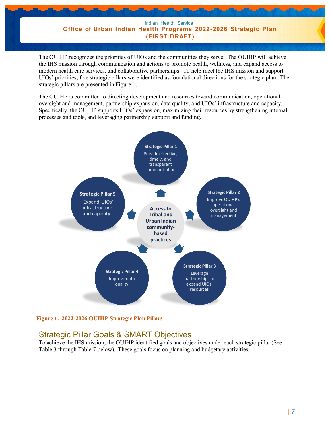Indian Health Service **Office of Urban Indian Health Programs 2022- 2026 Strategic Plan (FIRST DRAFT)**

The OUIHP recognizes the priorities of UIOs and the communities they serve. The OUIHP will achieve the IHS mission through communication and actions to promote health, wellness, and expand access to modern health care services, and collaborative partnerships. To help meet the IHS mission and support UIOs' priorities, five strategic pillars were identified as foundational directions for the strategic plan. The strategic pillars are presented in Figure 1.

The OUIHP is committed to directing development and resources toward communication, operational oversight and management, partnership expansion, data quality, and UIOs' infrastructure and capacity. Specifically, the OUIHP supports UIOs' expansion, maximizing their resources by strengthening internal processes and tools, and leveraging partnership support and funding.



**Figure 1. 2022-2026 OUIHP Strategic Plan Pillars**

### <span id="page-8-0"></span>Strategic Pillar Goals & SMART Objectives

To achieve the IHS mission, the OUIHP identified goals and objectives under each strategic pillar (See [Table 3 t](#page-9-0)hrough [Table 7 b](#page-11-2)elow). These goals focus on planning and budgetary activities.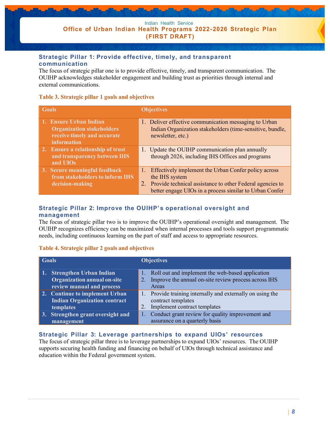#### **Strategic Pillar 1: Provide effective, timely, and transparent communication**

The focus of strategic pillar one is to provide effective, timely, and transparent communication. The OUIHP acknowledges stakeholder engagement and building trust as priorities through internal and external communications.

#### <span id="page-9-0"></span>**Table 3. Strategic pillar 1 goals and objectives**

| <b>Goals</b>                                                                                                    | <b>Objectives</b>                                                                                                                                                                                 |
|-----------------------------------------------------------------------------------------------------------------|---------------------------------------------------------------------------------------------------------------------------------------------------------------------------------------------------|
| 1. Ensure Urban Indian<br><b>Organization stakeholders</b><br>receive timely and accurate<br><b>information</b> | 1. Deliver effective communication messaging to Urban<br>Indian Organization stakeholders (time-sensitive, bundle,<br>newsletter, etc.)                                                           |
| 2. Ensure a relationship of trust<br>and transparency between IHS<br>and UIOs                                   | 1. Update the OUIHP communication plan annually<br>through 2026, including IHS Offices and programs                                                                                               |
| 3. Secure meaningful feedback<br>from stakeholders to inform IHS<br>decision-making                             | Effectively implement the Urban Confer policy across<br>the IHS system<br>2. Provide technical assistance to other Federal agencies to<br>better engage UIOs in a process similar to Urban Confer |

#### **Strategic Pillar 2: Improve the OUIHP's operational oversight and management**

The focus of strategic pillar two is to improve the OUIHP's operational oversight and management. The OUIHP recognizes efficiency can be maximized when internal processes and tools support programmatic needs, including continuous learning on the part of staff and access to appropriate resources.

#### **Table 4. Strategic pillar 2 goals and objectives**

| <b>Goals</b>                                                                                  |    | <b>Objectives</b>                                                                                                 |
|-----------------------------------------------------------------------------------------------|----|-------------------------------------------------------------------------------------------------------------------|
| 1. Strengthen Urban Indian<br><b>Organization annual on-site</b><br>review manual and process | 1. | Roll out and implement the web-based application<br>Improve the annual on-site review process across IHS<br>Areas |
| 2. Continue to implement Urban<br><b>Indian Organization contract</b><br>templates            | 1. | Provide training internally and externally on using the<br>contract templates<br>Implement contract templates     |
| 3. Strengthen grant oversight and<br>management                                               |    | Conduct grant review for quality improvement and<br>assurance on a quarterly basis                                |

#### **Strategic Pillar 3: Leverage partnerships to expand UIOs' resources**

The focus of strategic pillar three is to leverage partnerships to expand UIOs' resources. The OUIHP supports securing health funding and financing on behalf of UIOs through technical assistance and education within the Federal government system.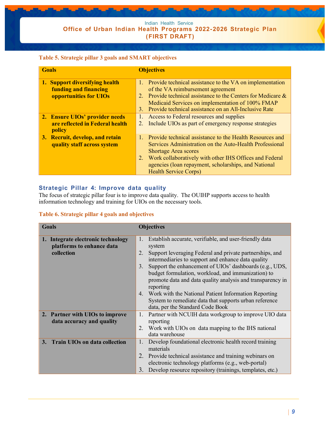#### **Table 5. Strategic pillar 3 goals and SMART objectives**

| <b>Goals</b>                                                                      | <b>Objectives</b>                                                                                                                                                                                                                                                                                                       |
|-----------------------------------------------------------------------------------|-------------------------------------------------------------------------------------------------------------------------------------------------------------------------------------------------------------------------------------------------------------------------------------------------------------------------|
| 1. Support diversifying health<br>funding and financing<br>opportunities for UIOs | 1. Provide technical assistance to the VA on implementation<br>of the VA reimbursement agreement<br>2. Provide technical assistance to the Centers for Medicare $\&$<br>Medicaid Services on implementation of 100% FMAP<br>Provide technical assistance on an All-Inclusive Rate<br>3.                                 |
| 2. Ensure UIOs' provider needs<br>are reflected in Federal health<br>policy       | Access to Federal resources and supplies<br>1.<br>Include UIOs as part of emergency response strategies<br>2.                                                                                                                                                                                                           |
| 3. Recruit, develop, and retain<br>quality staff across system                    | Provide technical assistance to the Health Resources and<br>$1_{\odot}$<br>Services Administration on the Auto-Health Professional<br><b>Shortage Area scores</b><br>2. Work collaboratively with other IHS Offices and Federal<br>agencies (loan repayment, scholarships, and National<br><b>Health Service Corps)</b> |

#### **Strategic Pillar 4: Improve data quality**

The focus of strategic pillar four is to improve data quality. The OUIHP supports access to health information technology and training for UIOs on the necessary tools.

#### **Table 6. Strategic pillar 4 goals and objectives**

| Goals                                                                         | <b>Objectives</b>                                                                                                                                                                                                                                                                                                                                                                                                                                              |
|-------------------------------------------------------------------------------|----------------------------------------------------------------------------------------------------------------------------------------------------------------------------------------------------------------------------------------------------------------------------------------------------------------------------------------------------------------------------------------------------------------------------------------------------------------|
| 1. Integrate electronic technology<br>platforms to enhance data<br>collection | Establish accurate, verifiable, and user-friendly data<br>1.<br>system<br>Support leveraging Federal and private partnerships, and<br>2.<br>intermediaries to support and enhance data quality<br>Support the enhancement of UIOs' dashboards (e.g., UDS,<br>3.<br>budget formulation, workload, and immunization) to<br>promote data and data quality analysis and transparency in<br>reporting<br>Work with the National Patient Information Reporting<br>4. |
|                                                                               | System to remediate data that supports urban reference<br>data, per the Standard Code Book                                                                                                                                                                                                                                                                                                                                                                     |
| 2. Partner with UIOs to improve<br>data accuracy and quality                  | Partner with NCUIH data workgroup to improve UIO data<br>1.<br>reporting<br>Work with UIOs on data mapping to the IHS national<br>2.<br>data warehouse                                                                                                                                                                                                                                                                                                         |
| 3. Train UIOs on data collection                                              | Develop foundational electronic health record training<br>1.<br>materials<br>2. Provide technical assistance and training webinars on<br>electronic technology platforms (e.g., web-portal)<br>Develop resource repository (trainings, templates, etc.)<br>3.                                                                                                                                                                                                  |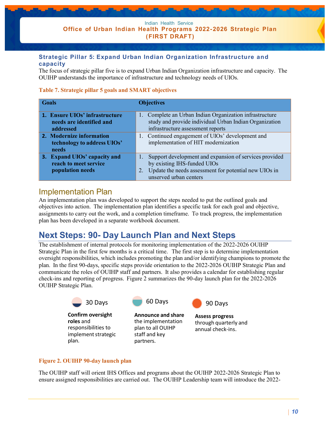#### **Strategic Pillar 5: Expand Urban Indian Organization Infrastructure and capacity**

The focus of strategic pillar five is to expand Urban Indian Organization infrastructure and capacity. The OUIHP understands the importance of infrastructure and technology needs of UIOs.

#### <span id="page-11-2"></span>**Table 7. Strategic pillar 5 goals and SMART objectives**

| <b>Goals</b>                                                              | <b>Objectives</b>                                                                                                                                                              |  |
|---------------------------------------------------------------------------|--------------------------------------------------------------------------------------------------------------------------------------------------------------------------------|--|
| 1. Ensure UIOs' infrastructure<br>needs are identified and<br>addressed   | 1. Complete an Urban Indian Organization infrastructure<br>study and provide individual Urban Indian Organization<br>infrastructure assessment reports                         |  |
| 2. Modernize information<br>technology to address UIOs'<br>needs          | 1. Continued engagement of UIOs' development and<br>implementation of HIT modernization                                                                                        |  |
| 3. Expand UIOs' capacity and<br>reach to meet service<br>population needs | Support development and expansion of services provided<br>by existing IHS-funded UIOs<br>Update the needs assessment for potential new UIOs in<br>2.<br>unserved urban centers |  |

### <span id="page-11-0"></span>Implementation Plan

An implementation plan was developed to support the steps needed to put the outlined goals and objectives into action. The implementation plan identifies a specific task for each goal and objective, assignments to carry out the work, and a completion timeframe. To track progress, the implementation plan has been developed in a separate workbook document.

### <span id="page-11-1"></span>**Next Steps: 90- Day Launch Plan and Next Steps**

The establishment of internal protocols for monitoring implementation of the 2022-2026 OUIHP Strategic Plan in the first few months is a critical time. The first step is to determine implementation oversight responsibilities, which includes promoting the plan and/or identifying champions to promote the plan. In the first 90-days, specific steps provide orientation to the 2022-2026 OUIHP Strategic Plan and communicate the roles of OUIHP staff and partners. It also provides a calendar for establishing regular check-ins and reporting of progress. [Figure 2 s](#page-11-3)ummarizes the 90-day launch plan for the 2022-2026 OUIHP Strategic Plan.



#### <span id="page-11-3"></span>**Figure 2. OUIHP 90-day launch plan**

The OUIHP staff will orient IHS Offices and programs about the OUIHP 2022-2026 Strategic Plan to ensure assigned responsibilities are carried out. The OUIHP Leadership team will introduce the 2022-